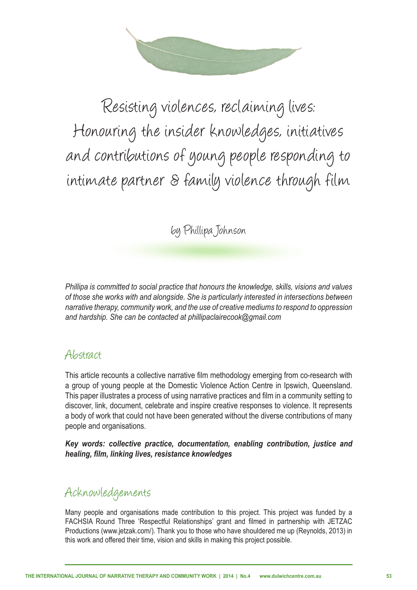

Resisting violences, reclaiming lives: Honouring the insider knowledges, initiatives and contributions of young people responding to intimate partner & family violence through film

by Phillipa Johnson

*Phillipa is committed to social practice that honours the knowledge, skills, visions and values of those she works with and alongside. She is particularly interested in intersections between narrative therapy, community work, and the use of creative mediums to respond to oppression and hardship. She can be contacted at phillipaclairecook@gmail.com* 

#### Abstract

This article recounts a collective narrative flm methodology emerging from co-research with a group of young people at the Domestic Violence Action Centre in Ipswich, Queensland. This paper illustrates a process of using narrative practices and flm in a community setting to discover, link, document, celebrate and inspire creative responses to violence. It represents a body of work that could not have been generated without the diverse contributions of many people and organisations.

*Key words: collective practice, documentation, enabling contribution, justice and healing, flm, linking lives, resistance knowledges*

#### Acknowledgements

Many people and organisations made contribution to this project. This project was funded by a FACHSIA Round Three 'Respectful Relationships' grant and flmed in partnership with JETZAC Productions (www.jetzak.com/). Thank you to those who have shouldered me up (Reynolds, 2013) in this work and offered their time, vision and skills in making this project possible.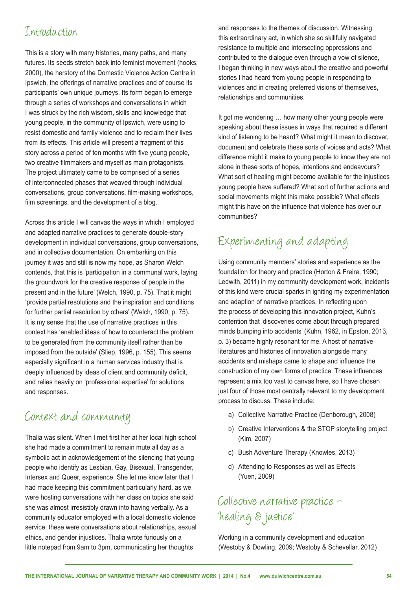#### Introduction

This is a story with many histories, many paths, and many futures. Its seeds stretch back into feminist movement (hooks, 2000), the herstory of the Domestic Violence Action Centre in Ipswich, the offerings of narrative practices and of course its participants' own unique journeys. Its form began to emerge through a series of workshops and conversations in which I was struck by the rich wisdom, skills and knowledge that young people, in the community of Ipswich, were using to resist domestic and family violence and to reclaim their lives from its effects. This article will present a fragment of this story across a period of ten months with five young people, two creative flmmakers and myself as main protagonists. The project ultimately came to be comprised of a series of interconnected phases that weaved through individual conversations, group conversations, flm-making workshops, film screenings, and the development of a blog.

Across this article I will canvas the ways in which I employed and adapted narrative practices to generate double-story development in individual conversations, group conversations, and in collective documentation. On embarking on this journey it was and still is now my hope, as Sharon Welch contends, that this is 'participation in a communal work, laying the groundwork for the creative response of people in the present and in the future' (Welch, 1990, p. 75). That it might 'provide partial resolutions and the inspiration and conditions for further partial resolution by others' (Welch, 1990, p. 75). It is my sense that the use of narrative practices in this context has 'enabled ideas of how to counteract the problem to be generated from the community itself rather than be imposed from the outside' (Sliep, 1996, p. 155). This seems especially signifcant in a human services industry that is deeply influenced by ideas of client and community deficit, and relies heavily on 'professional expertise' for solutions and responses.

#### Context and community

Thalia was silent. When I met frst her at her local high school she had made a commitment to remain mute all day as a symbolic act in acknowledgement of the silencing that young people who identify as Lesbian, Gay, Bisexual, Transgender, Intersex and Queer, experience. She let me know later that I had made keeping this commitment particularly hard, as we were hosting conversations with her class on topics she said she was almost irresistibly drawn into having verbally. As a community educator employed with a local domestic violence service, these were conversations about relationships, sexual ethics, and gender injustices. Thalia wrote furiously on a little notepad from 9am to 3pm, communicating her thoughts

and responses to the themes of discussion. Witnessing this extraordinary act, in which she so skillfully navigated resistance to multiple and intersecting oppressions and contributed to the dialogue even through a vow of silence, I began thinking in new ways about the creative and powerful stories I had heard from young people in responding to violences and in creating preferred visions of themselves, relationships and communities.

It got me wondering … how many other young people were speaking about these issues in ways that required a different kind of listening to be heard? What might it mean to discover, document and celebrate these sorts of voices and acts? What difference might it make to young people to know they are not alone in these sorts of hopes, intentions and endeavours? What sort of healing might become available for the injustices young people have suffered? What sort of further actions and social movements might this make possible? What effects might this have on the infuence that violence has over our communities?

# Experimenting and adapting

Using community members' stories and experience as the foundation for theory and practice (Horton & Freire, 1990; Ledwith, 2011) in my community development work, incidents of this kind were crucial sparks in igniting my experimentation and adaption of narrative practices. In refecting upon the process of developing this innovation project, Kuhn's contention that 'discoveries come about through prepared minds bumping into accidents' (Kuhn, 1962, in Epston, 2013, p. 3) became highly resonant for me. A host of narrative literatures and histories of innovation alongside many accidents and mishaps came to shape and infuence the construction of my own forms of practice. These infuences represent a mix too vast to canvas here, so I have chosen just four of those most centrally relevant to my development process to discuss. These include:

- a) Collective Narrative Practice (Denborough, 2008)
- b) Creative Interventions & the STOP storytelling project (Kim, 2007)
- c) Bush Adventure Therapy (Knowles, 2013)
- d) Attending to Responses as well as Effects (Yuen, 2009)

# Collective narrative practice – 'healing & justice'

Working in a community development and education (Westoby & Dowling, 2009; Westoby & Schevellar, 2012)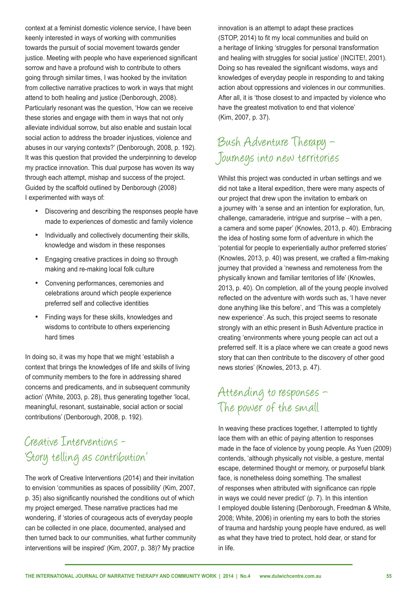context at a feminist domestic violence service, I have been keenly interested in ways of working with communities towards the pursuit of social movement towards gender justice. Meeting with people who have experienced significant sorrow and have a profound wish to contribute to others going through similar times, I was hooked by the invitation from collective narrative practices to work in ways that might attend to both healing and justice (Denborough, 2008). Particularly resonant was the question, 'How can we receive these stories and engage with them in ways that not only alleviate individual sorrow, but also enable and sustain local social action to address the broader injustices, violence and abuses in our varying contexts?' (Denborough, 2008, p. 192). It was this question that provided the underpinning to develop my practice innovation. This dual purpose has woven its way through each attempt, mishap and success of the project. Guided by the scaffold outlined by Denborough (2008) I experimented with ways of:

- • Discovering and describing the responses people have made to experiences of domestic and family violence
- Individually and collectively documenting their skills, knowledge and wisdom in these responses
- Engaging creative practices in doing so through making and re-making local folk culture
- Convening performances, ceremonies and celebrations around which people experience preferred self and collective identities
- Finding ways for these skills, knowledges and wisdoms to contribute to others experiencing hard times

In doing so, it was my hope that we might 'establish a context that brings the knowledges of life and skills of living of community members to the fore in addressing shared concerns and predicaments, and in subsequent community action' (White, 2003, p. 28), thus generating together 'local, meaningful, resonant, sustainable, social action or social contributions' (Denborough, 2008, p. 192).

#### Creative Interventions - 'Story telling as contribution'

The work of Creative Interventions (2014) and their invitation to envision 'communities as spaces of possibility' (Kim, 2007, p. 35) also signifcantly nourished the conditions out of which my project emerged. These narrative practices had me wondering, if 'stories of courageous acts of everyday people can be collected in one place, documented, analysed and then turned back to our communities, what further community interventions will be inspired' (Kim, 2007, p. 38)? My practice

innovation is an attempt to adapt these practices (STOP, 2014) to fit my local communities and build on a heritage of linking 'struggles for personal transformation and healing with struggles for social justice' (INCITE!, 2001). Doing so has revealed the signifcant wisdoms, ways and knowledges of everyday people in responding to and taking action about oppressions and violences in our communities. After all, it is 'those closest to and impacted by violence who have the greatest motivation to end that violence' (Kim, 2007, p. 37).

# Bush Adventure Therapy – Journeys into new territories

Whilst this project was conducted in urban settings and we did not take a literal expedition, there were many aspects of our project that drew upon the invitation to embark on a journey with 'a sense and an intention for exploration, fun, challenge, camaraderie, intrigue and surprise – with a pen, a camera and some paper' (Knowles, 2013, p. 40). Embracing the idea of hosting some form of adventure in which the 'potential for people to experientially author preferred stories' (Knowles, 2013, p. 40) was present, we crafted a flm-making journey that provided a 'newness and remoteness from the physically known and familiar territories of life' (Knowles, 2013, p. 40). On completion, all of the young people involved refected on the adventure with words such as, 'I have never done anything like this before', and 'This was a completely new experience'. As such, this project seems to resonate strongly with an ethic present in Bush Adventure practice in creating 'environments where young people can act out a preferred self. It is a place where we can create a good news story that can then contribute to the discovery of other good news stories' (Knowles, 2013, p. 47).

#### Attending to responses – The power of the small

In weaving these practices together, I attempted to tightly lace them with an ethic of paying attention to responses made in the face of violence by young people. As Yuen (2009) contends, 'although physically not visible, a gesture, mental escape, determined thought or memory, or purposeful blank face, is nonetheless doing something. The smallest of responses when attributed with signifcance can ripple in ways we could never predict' (p. 7). In this intention I employed double listening (Denborough, Freedman & White, 2008; White, 2006) in orienting my ears to both the stories of trauma and hardship young people have endured, as well as what they have tried to protect, hold dear, or stand for in life.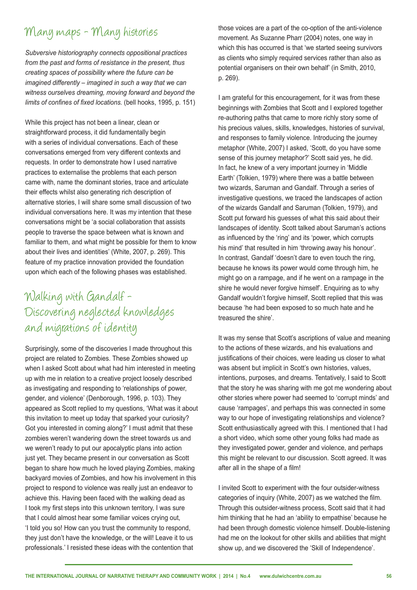#### Many maps - Many histories

*Subversive historiography connects oppositional practices from the past and forms of resistance in the present, thus creating spaces of possibility where the future can be imagined differently – imagined in such a way that we can witness ourselves dreaming, moving forward and beyond the limits of confnes of fxed locations.* (bell hooks, 1995, p. 151)

While this project has not been a linear, clean or straightforward process, it did fundamentally begin with a series of individual conversations. Each of these conversations emerged from very different contexts and requests. In order to demonstrate how I used narrative practices to externalise the problems that each person came with, name the dominant stories, trace and articulate their effects whilst also generating rich description of alternative stories, I will share some small discussion of two individual conversations here. It was my intention that these conversations might be 'a social collaboration that assists people to traverse the space between what is known and familiar to them, and what might be possible for them to know about their lives and identities' (White, 2007, p. 269). This feature of my practice innovation provided the foundation upon which each of the following phases was established.

# Walking with Gandalf - Discovering neglected knowledges and migrations of identity

Surprisingly, some of the discoveries I made throughout this project are related to Zombies. These Zombies showed up when I asked Scott about what had him interested in meeting up with me in relation to a creative project loosely described as investigating and responding to 'relationships of power, gender, and violence' (Denborough, 1996, p. 103). They appeared as Scott replied to my questions, 'What was it about this invitation to meet up today that sparked your curiosity? Got you interested in coming along?' I must admit that these zombies weren't wandering down the street towards us and we weren't ready to put our apocalyptic plans into action just yet. They became present in our conversation as Scott began to share how much he loved playing Zombies, making backyard movies of Zombies, and how his involvement in this project to respond to violence was really just an endeavor to achieve this. Having been faced with the walking dead as I took my frst steps into this unknown territory, I was sure that I could almost hear some familiar voices crying out, 'I told you so! How can you trust the community to respond, they just don't have the knowledge, or the will! Leave it to us professionals.' I resisted these ideas with the contention that

those voices are a part of the co-option of the anti-violence movement. As Suzanne Pharr (2004) notes, one way in which this has occurred is that 'we started seeing survivors as clients who simply required services rather than also as potential organisers on their own behalf' (in Smith, 2010, p. 269).

I am grateful for this encouragement, for it was from these beginnings with Zombies that Scott and I explored together re-authoring paths that came to more richly story some of his precious values, skills, knowledges, histories of survival, and responses to family violence. Introducing the journey metaphor (White, 2007) I asked, 'Scott, do you have some sense of this journey metaphor?' Scott said yes, he did. In fact, he knew of a very important journey in 'Middle Earth' (Tolkien, 1979) where there was a battle between two wizards, Saruman and Gandalf. Through a series of investigative questions, we traced the landscapes of action of the wizards Gandalf and Saruman (Tolkien, 1979), and Scott put forward his guesses of what this said about their landscapes of identity. Scott talked about Saruman's actions as infuenced by the 'ring' and its 'power, which corrupts his mind' that resulted in him 'throwing away his honour'. In contrast, Gandalf 'doesn't dare to even touch the ring, because he knows its power would come through him, he might go on a rampage, and if he went on a rampage in the shire he would never forgive himself'. Enquiring as to why Gandalf wouldn't forgive himself, Scott replied that this was because 'he had been exposed to so much hate and he treasured the shire'.

It was my sense that Scott's ascriptions of value and meaning to the actions of these wizards, and his evaluations and justifications of their choices, were leading us closer to what was absent but implicit in Scott's own histories, values, intentions, purposes, and dreams. Tentatively, I said to Scott that the story he was sharing with me got me wondering about other stories where power had seemed to 'corrupt minds' and cause 'rampages', and perhaps this was connected in some way to our hope of investigating relationships and violence? Scott enthusiastically agreed with this. I mentioned that I had a short video, which some other young folks had made as they investigated power, gender and violence, and perhaps this might be relevant to our discussion. Scott agreed. It was after all in the shape of a film!

I invited Scott to experiment with the four outsider-witness categories of inquiry (White, 2007) as we watched the flm. Through this outsider-witness process, Scott said that it had him thinking that he had an 'ability to empathise' because he had been through domestic violence himself. Double-listening had me on the lookout for other skills and abilities that might show up, and we discovered the 'Skill of Independence'.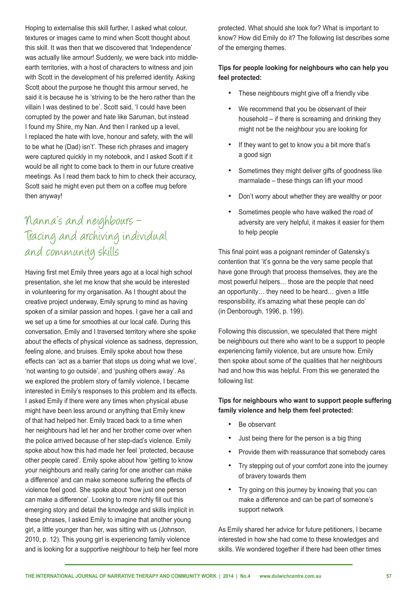Hoping to externalise this skill further, I asked what colour, textures or images came to mind when Scott thought about this skill. It was then that we discovered that 'Independence' was actually like armour! Suddenly, we were back into middleearth territories, with a host of characters to witness and join with Scott in the development of his preferred identity. Asking Scott about the purpose he thought this armour served, he said it is because he is 'striving to be the hero rather than the villain I was destined to be'. Scott said, 'I could have been corrupted by the power and hate like Saruman, but instead I found my Shire, my Nan. And then I ranked up a level, I replaced the hate with love, honour and safety, with the will to be what he (Dad) isn't'. These rich phrases and imagery were captured quickly in my notebook, and I asked Scott if it would be all right to come back to them in our future creative meetings. As I read them back to him to check their accuracy, Scott said he might even put them on a coffee mug before then anyway!

## Nanna's and neighbours – Tracing and archiving individual and community skills

Having frst met Emily three years ago at a local high school presentation, she let me know that she would be interested in volunteering for my organisation. As I thought about the creative project underway, Emily sprung to mind as having spoken of a similar passion and hopes. I gave her a call and we set up a time for smoothies at our local café. During this conversation, Emily and I traversed territory where she spoke about the effects of physical violence as sadness, depression, feeling alone, and bruises. Emily spoke about how these effects can 'act as a barrier that stops us doing what we love', 'not wanting to go outside', and 'pushing others away'. As we explored the problem story of family violence, I became interested in Emily's responses to this problem and its effects. I asked Emily if there were any times when physical abuse might have been less around or anything that Emily knew of that had helped her. Emily traced back to a time when her neighbours had let her and her brother come over when the police arrived because of her step-dad's violence. Emily spoke about how this had made her feel 'protected, because other people cared'. Emily spoke about how 'getting to know your neighbours and really caring for one another can make a difference' and can make someone suffering the effects of violence feel good. She spoke about 'how just one person can make a difference'. Looking to more richly fll out this emerging story and detail the knowledge and skills implicit in these phrases, I asked Emily to imagine that another young girl, a little younger than her, was sitting with us (Johnson, 2010, p. 12). This young girl is experiencing family violence and is looking for a supportive neighbour to help her feel more protected. What should she look for? What is important to know? How did Emily do it? The following list describes some of the emerging themes.

#### **Tips for people looking for neighbours who can help you feel protected:**

- These neighbours might give off a friendly vibe
- We recommend that you be observant of their household – if there is screaming and drinking they might not be the neighbour you are looking for
- If they want to get to know you a bit more that's a good sign
- Sometimes they might deliver gifts of goodness like marmalade – these things can lift your mood
- Don't worry about whether they are wealthy or poor
- Sometimes people who have walked the road of adversity are very helpful, it makes it easier for them to help people

This final point was a poignant reminder of Gatensky's contention that 'it's gonna be the very same people that have gone through that process themselves, they are the most powerful helpers… those are the people that need an opportunity… they need to be heard… given a little responsibility, it's amazing what these people can do' (in Denborough, 1996, p. 199).

Following this discussion, we speculated that there might be neighbours out there who want to be a support to people experiencing family violence, but are unsure how. Emily then spoke about some of the qualities that her neighbours had and how this was helpful. From this we generated the following list:

**Tips for neighbours who want to support people suffering family violence and help them feel protected:** 

- Be observant
- Just being there for the person is a big thing
- Provide them with reassurance that somebody cares
- Try stepping out of your comfort zone into the journey of bravery towards them
- Try going on this journey by knowing that you can make a difference and can be part of someone's support network

As Emily shared her advice for future petitioners, I became interested in how she had come to these knowledges and skills. We wondered together if there had been other times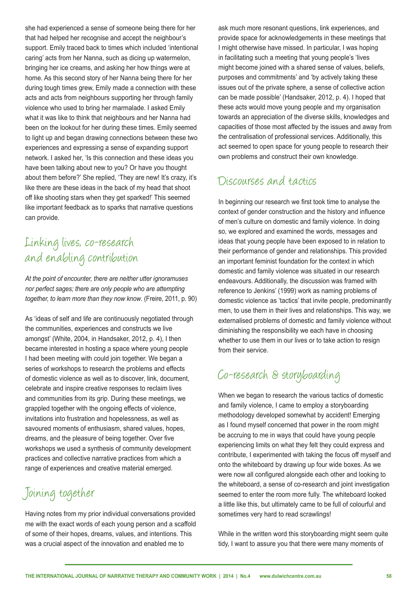she had experienced a sense of someone being there for her that had helped her recognise and accept the neighbour's support. Emily traced back to times which included 'intentional caring' acts from her Nanna, such as dicing up watermelon, bringing her ice creams, and asking her how things were at home. As this second story of her Nanna being there for her during tough times grew, Emily made a connection with these acts and acts from neighbours supporting her through family violence who used to bring her marmalade. I asked Emily what it was like to think that neighbours and her Nanna had been on the lookout for her during these times. Emily seemed to light up and began drawing connections between these two experiences and expressing a sense of expanding support network. I asked her, 'Is this connection and these ideas you have been talking about new to you? Or have you thought about them before?' She replied, 'They are new! It's crazy, it's like there are these ideas in the back of my head that shoot off like shooting stars when they get sparked!' This seemed like important feedback as to sparks that narrative questions can provide.

# Linking lives, co-research and enabling contribution

*At the point of encounter, there are neither utter ignoramuses nor perfect sages; there are only people who are attempting together, to learn more than they now know*. (Freire, 2011, p. 90)

As 'ideas of self and life are continuously negotiated through the communities, experiences and constructs we live amongst' (White, 2004, in Handsaker, 2012, p. 4), I then became interested in hosting a space where young people I had been meeting with could join together. We began a series of workshops to research the problems and effects of domestic violence as well as to discover, link, document, celebrate and inspire creative responses to reclaim lives and communities from its grip. During these meetings, we grappled together with the ongoing effects of violence, invitations into frustration and hopelessness, as well as savoured moments of enthusiasm, shared values, hopes, dreams, and the pleasure of being together. Over five workshops we used a synthesis of community development practices and collective narrative practices from which a range of experiences and creative material emerged.

# Joining together

Having notes from my prior individual conversations provided me with the exact words of each young person and a scaffold of some of their hopes, dreams, values, and intentions. This was a crucial aspect of the innovation and enabled me to

ask much more resonant questions, link experiences, and provide space for acknowledgements in these meetings that I might otherwise have missed. In particular, I was hoping in facilitating such a meeting that young people's 'lives might become joined with a shared sense of values, beliefs, purposes and commitments' and 'by actively taking these issues out of the private sphere, a sense of collective action can be made possible' (Handsaker, 2012, p. 4). I hoped that these acts would move young people and my organisation towards an appreciation of the diverse skills, knowledges and capacities of those most affected by the issues and away from the centralisation of professional services. Additionally, this act seemed to open space for young people to research their own problems and construct their own knowledge.

#### Discourses and tactics

In beginning our research we frst took time to analyse the context of gender construction and the history and infuence of men's culture on domestic and family violence. In doing so, we explored and examined the words, messages and ideas that young people have been exposed to in relation to their performance of gender and relationships. This provided an important feminist foundation for the context in which domestic and family violence was situated in our research endeavours. Additionally, the discussion was framed with reference to Jenkins' (1999) work as naming problems of domestic violence as 'tactics' that invite people, predominantly men, to use them in their lives and relationships. This way, we externalised problems of domestic and family violence without diminishing the responsibility we each have in choosing whether to use them in our lives or to take action to resign from their service.

#### Co-research & storyboarding

When we began to research the various tactics of domestic and family violence, I came to employ a storyboarding methodology developed somewhat by accident! Emerging as I found myself concerned that power in the room might be accruing to me in ways that could have young people experiencing limits on what they felt they could express and contribute, I experimented with taking the focus off myself and onto the whiteboard by drawing up four wide boxes. As we were now all configured alongside each other and looking to the whiteboard, a sense of co-research and joint investigation seemed to enter the room more fully. The whiteboard looked a little like this, but ultimately came to be full of colourful and sometimes very hard to read scrawlings!

While in the written word this storyboarding might seem quite tidy, I want to assure you that there were many moments of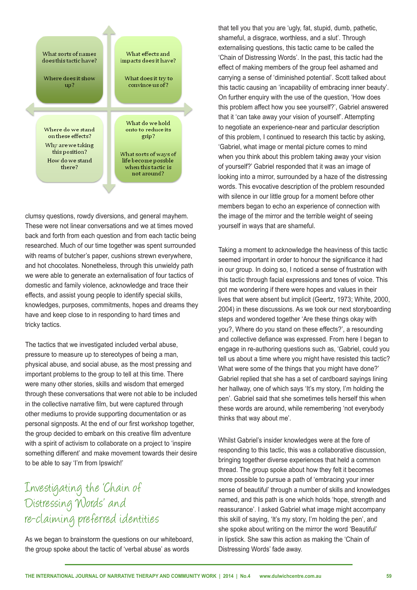

clumsy questions, rowdy diversions, and general mayhem. These were not linear conversations and we at times moved back and forth from each question and from each tactic being researched. Much of our time together was spent surrounded with reams of butcher's paper, cushions strewn everywhere, and hot chocolates. Nonetheless, through this unwieldy path we were able to generate an externalisation of four tactics of domestic and family violence, acknowledge and trace their effects, and assist young people to identify special skills, knowledges, purposes, commitments, hopes and dreams they have and keep close to in responding to hard times and tricky tactics.

The tactics that we investigated included verbal abuse, pressure to measure up to stereotypes of being a man, physical abuse, and social abuse, as the most pressing and important problems to the group to tell at this time. There were many other stories, skills and wisdom that emerged through these conversations that were not able to be included in the collective narrative flm, but were captured through other mediums to provide supporting documentation or as personal signposts. At the end of our first workshop together, the group decided to embark on this creative flm adventure with a spirit of activism to collaborate on a project to 'inspire something different' and make movement towards their desire to be able to say 'I'm from Ipswich!'

# Investigating the 'Chain of Distressing Words' and re-claiming preferred identities

As we began to brainstorm the questions on our whiteboard, the group spoke about the tactic of 'verbal abuse' as words

that tell you that you are 'ugly, fat, stupid, dumb, pathetic, shameful, a disgrace, worthless, and a slut'. Through externalising questions, this tactic came to be called the 'Chain of Distressing Words'. In the past, this tactic had the effect of making members of the group feel ashamed and carrying a sense of 'diminished potential'. Scott talked about this tactic causing an 'incapability of embracing inner beauty'. On further enquiry with the use of the question, 'How does this problem affect how you see yourself?', Gabriel answered that it 'can take away your vision of yourself'. Attempting to negotiate an experience-near and particular description of this problem, I continued to research this tactic by asking, 'Gabriel, what image or mental picture comes to mind when you think about this problem taking away your vision of yourself?' Gabriel responded that it was an image of looking into a mirror, surrounded by a haze of the distressing words. This evocative description of the problem resounded with silence in our little group for a moment before other members began to echo an experience of connection with the image of the mirror and the terrible weight of seeing yourself in ways that are shameful.

Taking a moment to acknowledge the heaviness of this tactic seemed important in order to honour the signifcance it had in our group. In doing so, I noticed a sense of frustration with this tactic through facial expressions and tones of voice. This got me wondering if there were hopes and values in their lives that were absent but implicit (Geertz, 1973; White, 2000, 2004) in these discussions. As we took our next storyboarding steps and wondered together 'Are these things okay with you?, Where do you stand on these effects?', a resounding and collective defance was expressed. From here I began to engage in re-authoring questions such as, 'Gabriel, could you tell us about a time where you might have resisted this tactic? What were some of the things that you might have done?' Gabriel replied that she has a set of cardboard sayings lining her hallway, one of which says 'It's my story, I'm holding the pen'. Gabriel said that she sometimes tells herself this when these words are around, while remembering 'not everybody thinks that way about me'.

Whilst Gabriel's insider knowledges were at the fore of responding to this tactic, this was a collaborative discussion, bringing together diverse experiences that held a common thread. The group spoke about how they felt it becomes more possible to pursue a path of 'embracing your inner sense of beautiful' through a number of skills and knowledges named, and this path is one which holds 'hope, strength and reassurance'. I asked Gabriel what image might accompany this skill of saying, 'It's my story, I'm holding the pen', and she spoke about writing on the mirror the word 'Beautiful' in lipstick. She saw this action as making the 'Chain of Distressing Words' fade away.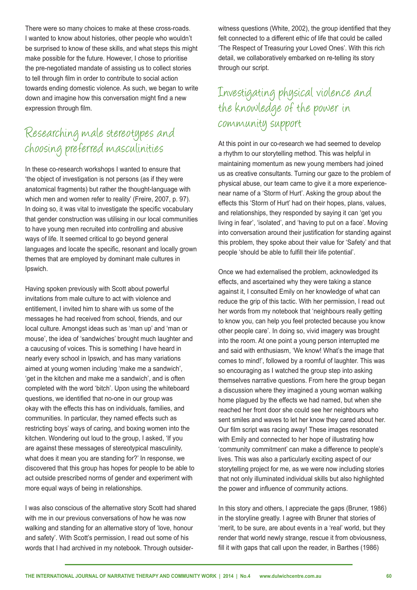There were so many choices to make at these cross-roads. I wanted to know about histories, other people who wouldn't be surprised to know of these skills, and what steps this might make possible for the future. However, I chose to prioritise the pre-negotiated mandate of assisting us to collect stories to tell through flm in order to contribute to social action towards ending domestic violence. As such, we began to write down and imagine how this conversation might find a new expression through flm.

## Researching male stereotypes and choosing preferred masculinities

In these co-research workshops I wanted to ensure that 'the object of investigation is not persons (as if they were anatomical fragments) but rather the thought-language with which men and women refer to reality' (Freire, 2007, p. 97). In doing so, it was vital to investigate the specific vocabulary that gender construction was utilising in our local communities to have young men recruited into controlling and abusive ways of life. It seemed critical to go beyond general languages and locate the specifc, resonant and locally grown themes that are employed by dominant male cultures in Ipswich.

Having spoken previously with Scott about powerful invitations from male culture to act with violence and entitlement, I invited him to share with us some of the messages he had received from school, friends, and our local culture. Amongst ideas such as 'man up' and 'man or mouse', the idea of 'sandwiches' brought much laughter and a caucusing of voices. This is something I have heard in nearly every school in Ipswich, and has many variations aimed at young women including 'make me a sandwich', 'get in the kitchen and make me a sandwich', and is often completed with the word 'bitch'. Upon using the whiteboard questions, we identifed that no-one in our group was okay with the effects this has on individuals, families, and communities. In particular, they named effects such as restricting boys' ways of caring, and boxing women into the kitchen. Wondering out loud to the group, I asked, 'If you are against these messages of stereotypical masculinity, what does it mean you are standing for?' In response, we discovered that this group has hopes for people to be able to act outside prescribed norms of gender and experiment with more equal ways of being in relationships.

I was also conscious of the alternative story Scott had shared with me in our previous conversations of how he was now walking and standing for an alternative story of 'love, honour and safety'. With Scott's permission, I read out some of his words that I had archived in my notebook. Through outsiderwitness questions (White, 2002), the group identifed that they felt connected to a different ethic of life that could be called 'The Respect of Treasuring your Loved Ones'. With this rich detail, we collaboratively embarked on re-telling its story through our script.

# Investigating physical violence and the knowledge of the power in community support

At this point in our co-research we had seemed to develop a rhythm to our storytelling method. This was helpful in maintaining momentum as new young members had joined us as creative consultants. Turning our gaze to the problem of physical abuse, our team came to give it a more experiencenear name of a 'Storm of Hurt'. Asking the group about the effects this 'Storm of Hurt' had on their hopes, plans, values, and relationships, they responded by saying it can 'get you living in fear', 'isolated', and 'having to put on a face'. Moving into conversation around their justifcation for standing against this problem, they spoke about their value for 'Safety' and that people 'should be able to fulfll their life potential'.

Once we had externalised the problem, acknowledged its effects, and ascertained why they were taking a stance against it, I consulted Emily on her knowledge of what can reduce the grip of this tactic. With her permission, I read out her words from my notebook that 'neighbours really getting to know you, can help you feel protected because you know other people care'. In doing so, vivid imagery was brought into the room. At one point a young person interrupted me and said with enthusiasm, 'We know! What's the image that comes to mind!', followed by a roomful of laughter. This was so encouraging as I watched the group step into asking themselves narrative questions. From here the group began a discussion where they imagined a young woman walking home plagued by the effects we had named, but when she reached her front door she could see her neighbours who sent smiles and waves to let her know they cared about her. Our flm script was racing away! These images resonated with Emily and connected to her hope of illustrating how 'community commitment' can make a difference to people's lives. This was also a particularly exciting aspect of our storytelling project for me, as we were now including stories that not only illuminated individual skills but also highlighted the power and infuence of community actions.

In this story and others, I appreciate the gaps (Bruner, 1986) in the storyline greatly. I agree with Bruner that stories of 'merit, to be sure, are about events in a 'real' world, but they render that world newly strange, rescue it from obviousness, fill it with gaps that call upon the reader, in Barthes (1986)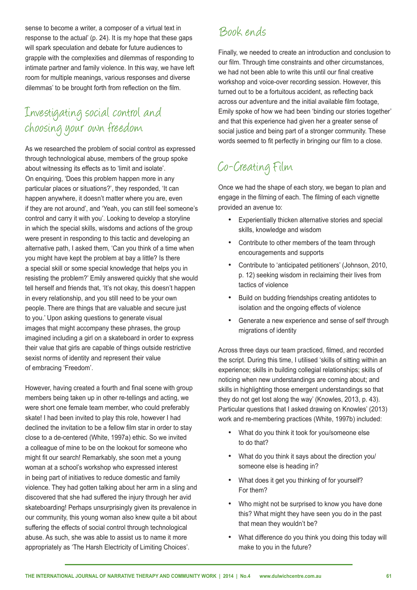sense to become a writer, a composer of a virtual text in response to the actual' (p. 24). It is my hope that these gaps will spark speculation and debate for future audiences to grapple with the complexities and dilemmas of responding to intimate partner and family violence. In this way, we have left room for multiple meanings, various responses and diverse dilemmas' to be brought forth from refection on the flm.

# Investigating social control and choosing your own freedom

As we researched the problem of social control as expressed through technological abuse, members of the group spoke about witnessing its effects as to 'limit and isolate'. On enquiring, 'Does this problem happen more in any particular places or situations?', they responded, 'It can happen anywhere, it doesn't matter where you are, even if they are not around', and 'Yeah, you can still feel someone's control and carry it with you'. Looking to develop a storyline in which the special skills, wisdoms and actions of the group were present in responding to this tactic and developing an alternative path, I asked them, 'Can you think of a time when you might have kept the problem at bay a little? Is there a special skill or some special knowledge that helps you in resisting the problem?' Emily answered quickly that she would tell herself and friends that, 'It's not okay, this doesn't happen in every relationship, and you still need to be your own people. There are things that are valuable and secure just to you.' Upon asking questions to generate visual images that might accompany these phrases, the group imagined including a girl on a skateboard in order to express their value that girls are capable of things outside restrictive sexist norms of identity and represent their value of embracing 'Freedom'.

However, having created a fourth and final scene with group members being taken up in other re-tellings and acting, we were short one female team member, who could preferably skate! I had been invited to play this role, however I had declined the invitation to be a fellow flm star in order to stay close to a de-centered (White, 1997a) ethic. So we invited a colleague of mine to be on the lookout for someone who might fit our search! Remarkably, she soon met a young woman at a school's workshop who expressed interest in being part of initiatives to reduce domestic and family violence. They had gotten talking about her arm in a sling and discovered that she had suffered the injury through her avid skateboarding! Perhaps unsurprisingly given its prevalence in our community, this young woman also knew quite a bit about suffering the effects of social control through technological abuse. As such, she was able to assist us to name it more appropriately as 'The Harsh Electricity of Limiting Choices'.

#### Book ends

Finally, we needed to create an introduction and conclusion to our film. Through time constraints and other circumstances. we had not been able to write this until our final creative workshop and voice-over recording session. However, this turned out to be a fortuitous accident, as refecting back across our adventure and the initial available flm footage, Emily spoke of how we had been 'binding our stories together' and that this experience had given her a greater sense of social justice and being part of a stronger community. These words seemed to fit perfectly in bringing our film to a close.

# Co-Creating Film

Once we had the shape of each story, we began to plan and engage in the flming of each. The flming of each vignette provided an avenue to:

- Experientially thicken alternative stories and special skills, knowledge and wisdom
- • Contribute to other members of the team through encouragements and supports
- Contribute to 'anticipated petitioners' (Johnson, 2010, p. 12) seeking wisdom in reclaiming their lives from tactics of violence
- Build on budding friendships creating antidotes to isolation and the ongoing effects of violence
- Generate a new experience and sense of self through migrations of identity

Across three days our team practiced, flmed, and recorded the script. During this time, I utilised 'skills of sitting within an experience; skills in building collegial relationships; skills of noticing when new understandings are coming about; and skills in highlighting those emergent understandings so that they do not get lost along the way' (Knowles, 2013, p. 43). Particular questions that I asked drawing on Knowles' (2013) work and re-membering practices (White, 1997b) included:

- • What do you think it took for you/someone else to do that?
- What do you think it says about the direction you/ someone else is heading in?
- What does it get you thinking of for yourself? For them?
- Who might not be surprised to know you have done this? What might they have seen you do in the past that mean they wouldn't be?
- What difference do you think you doing this today will make to you in the future?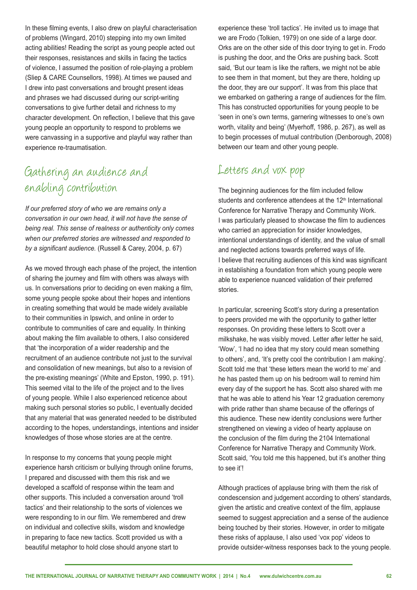In these flming events, I also drew on playful characterisation of problems (Wingard, 2010) stepping into my own limited acting abilities! Reading the script as young people acted out their responses, resistances and skills in facing the tactics of violence, I assumed the position of role-playing a problem (Sliep & CARE Counsellors, 1998). At times we paused and I drew into past conversations and brought present ideas and phrases we had discussed during our script-writing conversations to give further detail and richness to my character development. On refection, I believe that this gave young people an opportunity to respond to problems we were canvassing in a supportive and playful way rather than experience re-traumatisation.

# Gathering an audience and enabling contribution

*If our preferred story of who we are remains only a conversation in our own head, it will not have the sense of being real. This sense of realness or authenticity only comes when our preferred stories are witnessed and responded to by a signifcant audience.* (Russell & Carey, 2004, p. 67)

As we moved through each phase of the project, the intention of sharing the journey and flm with others was always with us. In conversations prior to deciding on even making a flm, some young people spoke about their hopes and intentions in creating something that would be made widely available to their communities in Ipswich, and online in order to contribute to communities of care and equality. In thinking about making the flm available to others, I also considered that 'the incorporation of a wider readership and the recruitment of an audience contribute not just to the survival and consolidation of new meanings, but also to a revision of the pre-existing meanings' (White and Epston, 1990, p. 191). This seemed vital to the life of the project and to the lives of young people. While I also experienced reticence about making such personal stories so public, I eventually decided that any material that was generated needed to be distributed according to the hopes, understandings, intentions and insider knowledges of those whose stories are at the centre.

In response to my concerns that young people might experience harsh criticism or bullying through online forums, I prepared and discussed with them this risk and we developed a scaffold of response within the team and other supports. This included a conversation around 'troll tactics' and their relationship to the sorts of violences we were responding to in our film. We remembered and drew on individual and collective skills, wisdom and knowledge in preparing to face new tactics. Scott provided us with a beautiful metaphor to hold close should anyone start to

experience these 'troll tactics'. He invited us to image that we are Frodo (Tolkien, 1979) on one side of a large door. Orks are on the other side of this door trying to get in. Frodo is pushing the door, and the Orks are pushing back. Scott said, 'But our team is like the rafters, we might not be able to see them in that moment, but they are there, holding up the door, they are our support'. It was from this place that we embarked on gathering a range of audiences for the flm. This has constructed opportunities for young people to be 'seen in one's own terms, garnering witnesses to one's own worth, vitality and being' (Myerhoff, 1986, p. 267), as well as to begin processes of mutual contribution (Denborough, 2008) between our team and other young people.

#### Letters and vox pop

The beginning audiences for the film included fellow students and conference attendees at the  $12<sup>th</sup>$  International Conference for Narrative Therapy and Community Work. I was particularly pleased to showcase the flm to audiences who carried an appreciation for insider knowledges, intentional understandings of identity, and the value of small and neglected actions towards preferred ways of life. I believe that recruiting audiences of this kind was signifcant in establishing a foundation from which young people were able to experience nuanced validation of their preferred stories.

In particular, screening Scott's story during a presentation to peers provided me with the opportunity to gather letter responses. On providing these letters to Scott over a milkshake, he was visibly moved. Letter after letter he said, 'Wow', 'I had no idea that my story could mean something to others', and, 'It's pretty cool the contribution I am making'. Scott told me that 'these letters mean the world to me' and he has pasted them up on his bedroom wall to remind him every day of the support he has. Scott also shared with me that he was able to attend his Year 12 graduation ceremony with pride rather than shame because of the offerings of this audience. These new identity conclusions were further strengthened on viewing a video of hearty applause on the conclusion of the flm during the 2104 International Conference for Narrative Therapy and Community Work. Scott said, 'You told me this happened, but it's another thing to see it'!

Although practices of applause bring with them the risk of condescension and judgement according to others' standards, given the artistic and creative context of the flm, applause seemed to suggest appreciation and a sense of the audience being touched by their stories. However, in order to mitigate these risks of applause, I also used 'vox pop' videos to provide outsider-witness responses back to the young people.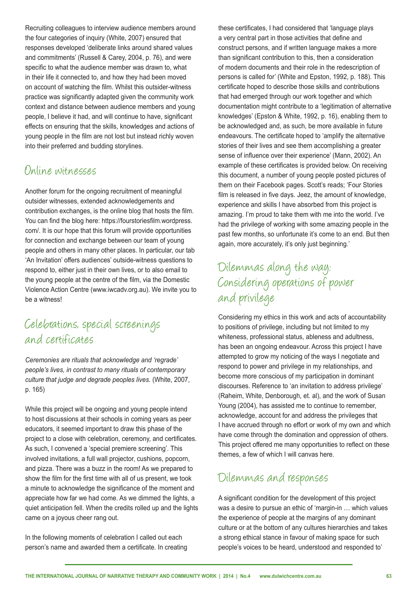Recruiting colleagues to interview audience members around the four categories of inquiry (White, 2007) ensured that responses developed 'deliberate links around shared values and commitments' (Russell & Carey, 2004, p. 76), and were specific to what the audience member was drawn to, what in their life it connected to, and how they had been moved on account of watching the flm. Whilst this outsider-witness practice was signifcantly adapted given the community work context and distance between audience members and young people, I believe it had, and will continue to have, signifcant effects on ensuring that the skills, knowledges and actions of young people in the flm are not lost but instead richly woven into their preferred and budding storylines.

#### Online witnesses

Another forum for the ongoing recruitment of meaningful outsider witnesses, extended acknowledgements and contribution exchanges, is the online blog that hosts the flm. You can fnd the blog here: https://fourstoriesflm.wordpress. com/. It is our hope that this forum will provide opportunities for connection and exchange between our team of young people and others in many other places. In particular, our tab 'An Invitation' offers audiences' outside-witness questions to respond to, either just in their own lives, or to also email to the young people at the centre of the flm, via the Domestic Violence Action Centre (www.iwcadv.org.au). We invite you to be a witness!

#### Celebrations, special screenings and certificates

*Ceremonies are rituals that acknowledge and 'regrade' people's lives, in contrast to many rituals of contemporary culture that judge and degrade peoples lives.* (White, 2007, p. 165)

While this project will be ongoing and young people intend to host discussions at their schools in coming years as peer educators, it seemed important to draw this phase of the project to a close with celebration, ceremony, and certifcates. As such, I convened a 'special premiere screening'. This involved invitations, a full wall projector, cushions, popcorn, and pizza. There was a buzz in the room! As we prepared to show the film for the first time with all of us present, we took a minute to acknowledge the significance of the moment and appreciate how far we had come. As we dimmed the lights, a quiet anticipation fell. When the credits rolled up and the lights came on a joyous cheer rang out.

In the following moments of celebration I called out each person's name and awarded them a certifcate. In creating these certifcates, I had considered that 'language plays a very central part in those activities that defne and construct persons, and if written language makes a more than signifcant contribution to this, then a consideration of modern documents and their role in the redescription of persons is called for' (White and Epston, 1992, p. 188). This certifcate hoped to describe those skills and contributions that had emerged through our work together and which documentation might contribute to a 'legitimation of alternative knowledges' (Epston & White, 1992, p. 16), enabling them to be acknowledged and, as such, be more available in future endeavours. The certificate hoped to 'amplify the alternative stories of their lives and see them accomplishing a greater sense of infuence over their experience' (Mann, 2002). An example of these certificates is provided below. On receiving this document, a number of young people posted pictures of them on their Facebook pages. Scott's reads; 'Four Stories film is released in five days. Jeez, the amount of knowledge, experience and skills I have absorbed from this project is amazing. I'm proud to take them with me into the world. I've had the privilege of working with some amazing people in the past few months, so unfortunate it's come to an end. But then again, more accurately, it's only just beginning.'

## Dilemmas along the way: Considering operations of power and privilege

Considering my ethics in this work and acts of accountability to positions of privilege, including but not limited to my whiteness, professional status, ableness and adultness, has been an ongoing endeavour. Across this project I have attempted to grow my noticing of the ways I negotiate and respond to power and privilege in my relationships, and become more conscious of my participation in dominant discourses. Reference to 'an invitation to address privilege' (Raheim, White, Denborough, et. al), and the work of Susan Young (2004), has assisted me to continue to remember, acknowledge, account for and address the privileges that I have accrued through no effort or work of my own and which have come through the domination and oppression of others. This project offered me many opportunities to refect on these themes, a few of which I will canvas here.

## Dilemmas and responses

A signifcant condition for the development of this project was a desire to pursue an ethic of 'margin-in … which values the experience of people at the margins of any dominant culture or at the bottom of any cultures hierarchies and takes a strong ethical stance in favour of making space for such people's voices to be heard, understood and responded to'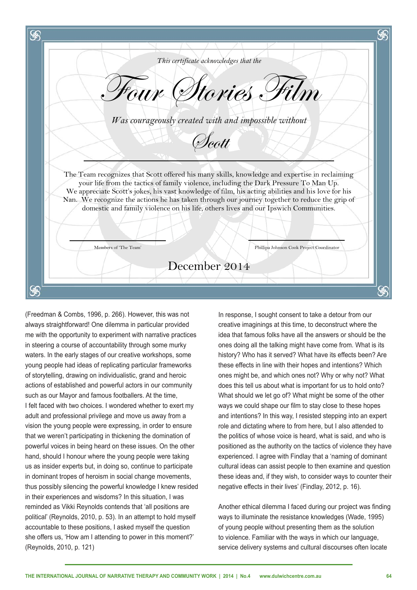S *This certificate acknowledges that the* Four Stories Film *Was courageously created with and impossible without*  Scott The Team recognizes that Scott offered his many skills, knowledge and expertise in reclaiming your life from the tactics of family violence, including the Dark Pressure To Man Up. We appreciate Scott's jokes, his vast knowledge of film, his acting abilities and his love for his Nan. We recognize the actions he has taken through our journey together to reduce the grip of domestic and family violence on his life, others lives and our Ipswich Communities. Members of 'The Team' Phillipa Johnson Cook Project Coordinator December 2014 S

(Freedman & Combs, 1996, p. 266). However, this was not always straightforward! One dilemma in particular provided me with the opportunity to experiment with narrative practices in steering a course of accountability through some murky waters. In the early stages of our creative workshops, some young people had ideas of replicating particular frameworks of storytelling, drawing on individualistic, grand and heroic actions of established and powerful actors in our community such as our Mayor and famous footballers. At the time, I felt faced with two choices. I wondered whether to exert my adult and professional privilege and move us away from a vision the young people were expressing, in order to ensure that we weren't participating in thickening the domination of powerful voices in being heard on these issues. On the other hand, should I honour where the young people were taking us as insider experts but, in doing so, continue to participate in dominant tropes of heroism in social change movements, thus possibly silencing the powerful knowledge I knew resided in their experiences and wisdoms? In this situation, I was reminded as Vikki Reynolds contends that 'all positions are political' (Reynolds, 2010, p. 53). In an attempt to hold myself accountable to these positions, I asked myself the question she offers us, 'How am I attending to power in this moment?' (Reynolds, 2010, p. 121)

In response, I sought consent to take a detour from our creative imaginings at this time, to deconstruct where the idea that famous folks have all the answers or should be the ones doing all the talking might have come from. What is its history? Who has it served? What have its effects been? Are these effects in line with their hopes and intentions? Which ones might be, and which ones not? Why or why not? What does this tell us about what is important for us to hold onto? What should we let go of? What might be some of the other ways we could shape our film to stay close to these hopes and intentions? In this way, I resisted stepping into an expert role and dictating where to from here, but I also attended to the politics of whose voice is heard, what is said, and who is positioned as the authority on the tactics of violence they have experienced. I agree with Findlay that a 'naming of dominant cultural ideas can assist people to then examine and question these ideas and, if they wish, to consider ways to counter their negative effects in their lives' (Findlay, 2012, p. 16).

Another ethical dilemma I faced during our project was fnding ways to illuminate the resistance knowledges (Wade, 1995) of young people without presenting them as the solution to violence. Familiar with the ways in which our language, service delivery systems and cultural discourses often locate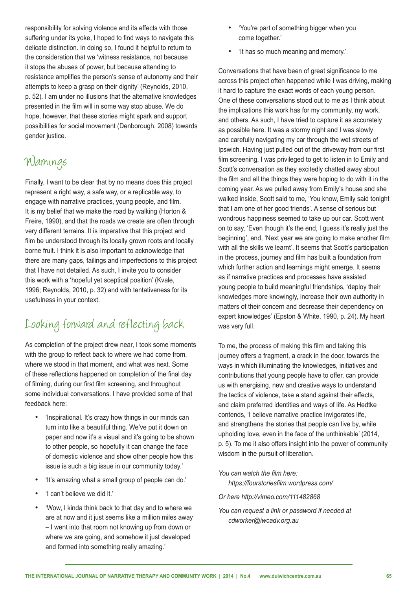responsibility for solving violence and its effects with those suffering under its voke. I hoped to find ways to navigate this delicate distinction. In doing so, I found it helpful to return to the consideration that we 'witness resistance, not because it stops the abuses of power, but because attending to resistance amplifes the person's sense of autonomy and their attempts to keep a grasp on their dignity' (Reynolds, 2010, p. 52). I am under no illusions that the alternative knowledges presented in the flm will in some way stop abuse. We do hope, however, that these stories might spark and support possibilities for social movement (Denborough, 2008) towards gender justice.

# Warnings

Finally, I want to be clear that by no means does this project represent a right way, a safe way, or a replicable way, to engage with narrative practices, young people, and flm. It is my belief that we make the road by walking (Horton & Freire, 1990), and that the roads we create are often through very different terrains. It is imperative that this project and film be understood through its locally grown roots and locally borne fruit. I think it is also important to acknowledge that there are many gaps, failings and imperfections to this project that I have not detailed. As such, I invite you to consider this work with a 'hopeful yet sceptical position' (Kvale, 1996; Reynolds, 2010, p. 32) and with tentativeness for its usefulness in your context.

# Looking forward and reflecting back

As completion of the project drew near, I took some moments with the group to reflect back to where we had come from. where we stood in that moment, and what was next. Some of these refections happened on completion of the fnal day of flming, during our frst flm screening, and throughout some individual conversations. I have provided some of that feedback here:

- 'Inspirational. It's crazy how things in our minds can turn into like a beautiful thing. We've put it down on paper and now it's a visual and it's going to be shown to other people, so hopefully it can change the face of domestic violence and show other people how this issue is such a big issue in our community today.'
- 'It's amazing what a small group of people can do.'
- 'I can't believe we did it.'
- 'Wow, I kinda think back to that day and to where we are at now and it just seems like a million miles away – I went into that room not knowing up from down or where we are going, and somehow it just developed and formed into something really amazing.'
- • 'You're part of something bigger when you come together.'
- • 'It has so much meaning and memory.'

Conversations that have been of great signifcance to me across this project often happened while I was driving, making it hard to capture the exact words of each young person. One of these conversations stood out to me as I think about the implications this work has for my community, my work, and others. As such, I have tried to capture it as accurately as possible here. It was a stormy night and I was slowly and carefully navigating my car through the wet streets of Ipswich. Having just pulled out of the driveway from our first film screening, I was privileged to get to listen in to Emily and Scott's conversation as they excitedly chatted away about the flm and all the things they were hoping to do with it in the coming year. As we pulled away from Emily's house and she walked inside, Scott said to me, 'You know, Emily said tonight that I am one of her good friends'. A sense of serious but wondrous happiness seemed to take up our car. Scott went on to say, 'Even though it's the end, I guess it's really just the beginning', and, 'Next year we are going to make another flm with all the skills we learnt'. It seems that Scott's participation in the process, journey and flm has built a foundation from which further action and learnings might emerge. It seems as if narrative practices and processes have assisted young people to build meaningful friendships, 'deploy their knowledges more knowingly, increase their own authority in matters of their concern and decrease their dependency on expert knowledges' (Epston & White, 1990, p. 24). My heart was very full.

To me, the process of making this flm and taking this journey offers a fragment, a crack in the door, towards the ways in which illuminating the knowledges, initiatives and contributions that young people have to offer, can provide us with energising, new and creative ways to understand the tactics of violence, take a stand against their effects, and claim preferred identities and ways of life. As Hedtke contends, 'I believe narrative practice invigorates life, and strengthens the stories that people can live by, while upholding love, even in the face of the unthinkable' (2014, p. 5). To me it also offers insight into the power of community wisdom in the pursuit of liberation.

*You can watch the flm here: https://fourstoriesflm.wordpress.com/*

*Or here http://vimeo.com/111482868*

*You can request a link or password if needed at cdworker@iwcadv.org.au*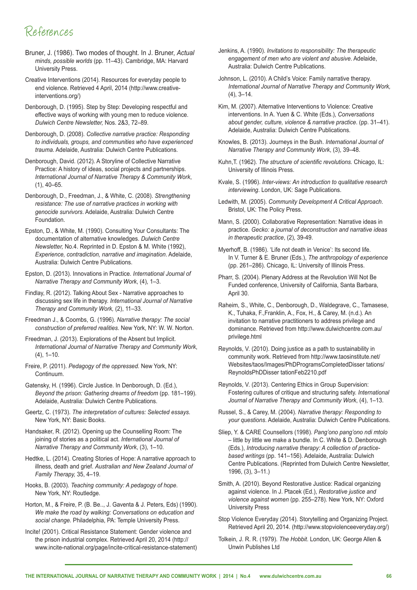## References

- Bruner, J. (1986). Two modes of thought. In J. Bruner, *Actual minds, possible worlds* (pp. 11–43). Cambridge, MA: Harvard University Press.
- Creative Interventions (2014). Resources for everyday people to end violence. Retrieved 4 April, 2014 (http://www.creativeinterventions.org/)
- Denborough, D. (1995). Step by Step: Developing respectful and effective ways of working with young men to reduce violence. *Dulwich Centre Newsletter,* Nos. 2&3, 72–89.
- Denborough, D. (2008). *Collective narrative practice: Responding to individuals, groups, and communities who have experienced trauma*. Adelaide, Australia: Dulwich Centre Publications.
- Denborough, David. (2012). A Storyline of Collective Narrative Practice: A history of ideas, social projects and partnerships. *International Journal of Narrative Therapy & Community Work*, (1), 40–65.
- Denborough, D., Freedman, J., & White, C. (2008). *Strengthening resistance: The use of narrative practices in working with genocide survivors*. Adelaide, Australia: Dulwich Centre Foundation.
- Epston, D., & White, M. (1990). Consulting Your Consultants: The documentation of alternative knowledges. *Dulwich Centre Newsletter,* No.4. Reprinted in D. Epston & M. White (1992), *Experience, contradiction, narrative and imagination*. Adelaide, Australia: Dulwich Centre Publications.
- Epston, D. (2013). Innovations in Practice. *International Journal of Narrative Therapy and Community Work*, (4), 1–3.
- Findlay, R. (2012). Talking About Sex Narrative approaches to discussing sex life in therapy. *International Journal of Narrative Therapy and Community Work,* (2), 11–33.
- Freedman J., & Coombs, G. (1996). *Narrative therapy: The social construction of preferred realities*. New York, NY: W. W. Norton.
- Freedman, J. (2013). Explorations of the Absent but Implicit. *International Journal of Narrative Therapy and Community Work*,  $(4)$ , 1–10.
- Freire, P. (2011). *Pedagogy of the oppressed.* New York, NY: Continuum.
- Gatensky, H. (1996). Circle Justice. In Denborough, D. (Ed.), *Beyond the prison: Gathering dreams of freedom (pp. 181–199).* Adelaide, Australia: Dulwich Centre Publications.
- Geertz, C. (1973). *The interpretation of cultures: Selected essays*. New York, NY: Basic Books.
- Handsaker, R. (2012). Opening up the Counselling Room: The joining of stories as a political act. *International Journal of Narrative Therapy and Community Work*, (3), 1–10.
- Hedtke, L. (2014). Creating Stories of Hope: A narrative approach to illness, death and grief. *Australian and New Zealand Journal of Family Therapy,* 35, 4–19.
- Hooks, B. (2003). *Teaching community: A pedagogy of hope*. New York, NY: Routledge.
- Horton, M., & Freire, P. (B. Be.., J. Gaventa & J. Peters, Eds) (1990). *We make the road by walking: Conversations on education and social change.* Philadelphia, PA: Temple University Press.
- Incite! (2001). Critical Resistance Statement: Gender violence and the prison industrial complex. Retrieved April 20, 2014 (http:// www.incite-national.org/page/incite-critical-resistance-statement)
- Jenkins, A. (1990). *Invitations to responsibility: The therapeutic engagement of men who are violent and abusive*. Adelaide, Australia: Dulwich Centre Publications.
- Johnson, L. (2010). A Child's Voice: Family narrative therapy. *International Journal of Narrative Therapy and Community Work,*   $(4)$ ,  $3-14$ .
- Kim, M. (2007). Alternative Interventions to Violence: Creative interventions. In A. Yuen & C. White (Eds.), *Conversations about gender, culture, violence & narrative practice*. (pp. 31–41). Adelaide, Australia: Dulwich Centre Publications.
- Knowles, B. (2013). Journeys in the Bush. *International Journal of Narrative Therapy and Community Work*, (3), 39–48.
- Kuhn,T. (1962). *The structure of scientifc revolutions.* Chicago, IL: University of Illinois Press.
- Kvale, S. (1996). *Inter-views: An introduction to qualitative research interviewing*. London, UK: Sage Publications.
- Ledwith, M. (2005). *Community Development A Critical Approach*. Bristol, UK: The Policy Press.
- Mann, S. (2000). Collaborative Representation: Narrative ideas in practice. *Gecko: a journal of deconstruction and narrative ideas in therapeutic practice*, (2), 39-49.
- Myerhoff, B. (1986). 'Life not death in Venice': Its second life. In V. Turner & E. Bruner (Eds.), *The anthropology of experience* (pp. 261–286). Chicago, IL: University of Illinois Press.
- Pharr, S. (2004). Plenary Address at the Revolution Will Not Be Funded conference, University of California, Santa Barbara, April 30.
- Raheim, S., White, C., Denborough, D., Waldegrave, C., Tamasese, K., Tuhaka, F.,Franklin, A., Fox, H., & Carey, M. (n.d.). An invitation to narrative practitioners to address privilege and dominance. Retrieved from http://www.dulwichcentre.com.au/ privilege.html
- Reynolds, V. (2010). Doing justice as a path to sustainability in community work. Retrieved from http://www.taosinstitute.net/ Websites/taos/Images/PhDProgramsCompletedDisser tations/ ReynoldsPhDDisser tationFeb2210.pdf
- Reynolds, V. (2013). Centering Ethics in Group Supervision: Fostering cultures of critique and structuring safety. *International Journal of Narrative Therapy and Community Work*, (4), 1–13.
- Russel, S., & Carey, M. (2004). *Narrative therapy: Responding to your questions*. Adelaide, Australia: Dulwich Centre Publications.
- Sliep, Y. & CARE Counsellors (1998). *Pang'ono pang'ono ndi mtolo* – little by little we make a bundle. In C. White & D. Denborough (Eds.), *Introducing narrative therapy: A collection of practicebased writings* (pp. 141–156). Adelaide, Australia: Dulwich Centre Publications. (Reprinted from Dulwich Centre Newsletter, 1996, (3), 3–11.)
- Smith, A. (2010). Beyond Restorative Justice: Radical organizing against violence. In J. Ptacek (Ed.), *Restorative justice and violence against women* (pp. 255–278). New York, NY: Oxford University Press
- Stop Violence Everyday (2014). Storytelling and Organizing Project. Retrieved April 20, 2014. (http://www.stopviolenceeveryday.org/)
- Tolkein, J. R. R. (1979). *The Hobbit*. London, UK: George Allen & Unwin Publishes Ltd